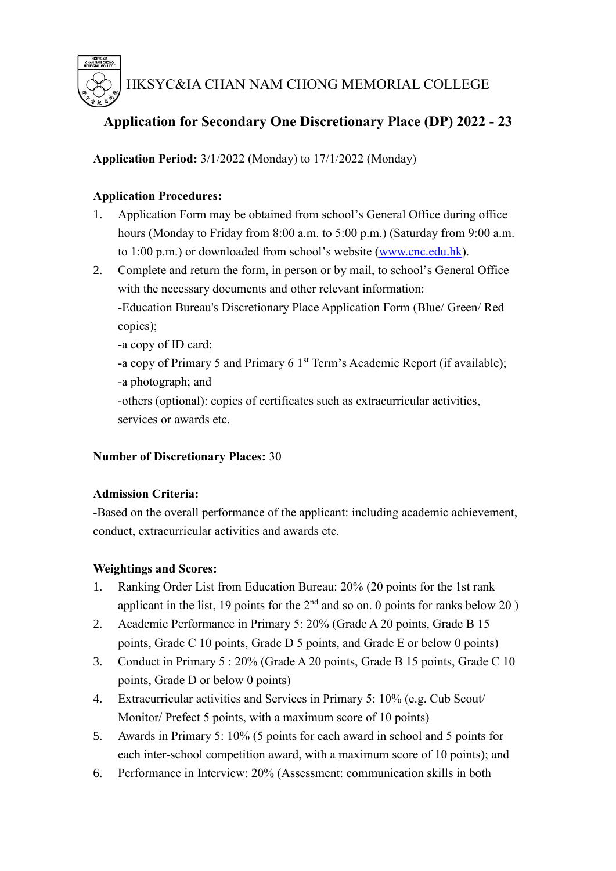

HKSYC&IA CHAN NAM CHONG MEMORIAL COLLEGE

# **Application for Secondary One Discretionary Place (DP) 2022 - 23**

**Application Period:** 3/1/2022 (Monday) to 17/1/2022 (Monday)

## **Application Procedures:**

- 1. Application Form may be obtained from school's General Office during office hours (Monday to Friday from 8:00 a.m. to 5:00 p.m.) (Saturday from 9:00 a.m. to 1:00 p.m.) or downloaded from school's website [\(www.cnc.edu.hk\)](http://www.cnc.edu.hk/).
- 2. Complete and return the form, in person or by mail, to school's General Office with the necessary documents and other relevant information:

-Education Bureau's Discretionary Place Application Form (Blue/ Green/ Red copies);

-a copy of ID card;

-a copy of Primary 5 and Primary 6 1<sup>st</sup> Term's Academic Report (if available); -a photograph; and

-others (optional): copies of certificates such as extracurricular activities, services or awards etc.

### **Number of Discretionary Places:** 30

### **Admission Criteria:**

-Based on the overall performance of the applicant: including academic achievement, conduct, extracurricular activities and awards etc.

### **Weightings and Scores:**

- 1. Ranking Order List from Education Bureau: 20% (20 points for the 1st rank applicant in the list, 19 points for the  $2<sup>nd</sup>$  and so on. 0 points for ranks below 20)
- 2. Academic Performance in Primary 5: 20% (Grade A 20 points, Grade B 15 points, Grade C 10 points, Grade D 5 points, and Grade E or below 0 points)
- 3. Conduct in Primary 5 : 20% (Grade A 20 points, Grade B 15 points, Grade C 10 points, Grade D or below 0 points)
- 4. Extracurricular activities and Services in Primary 5: 10% (e.g. Cub Scout/ Monitor/ Prefect 5 points, with a maximum score of 10 points)
- 5. Awards in Primary 5: 10% (5 points for each award in school and 5 points for each inter-school competition award, with a maximum score of 10 points); and
- 6. Performance in Interview: 20% (Assessment: communication skills in both